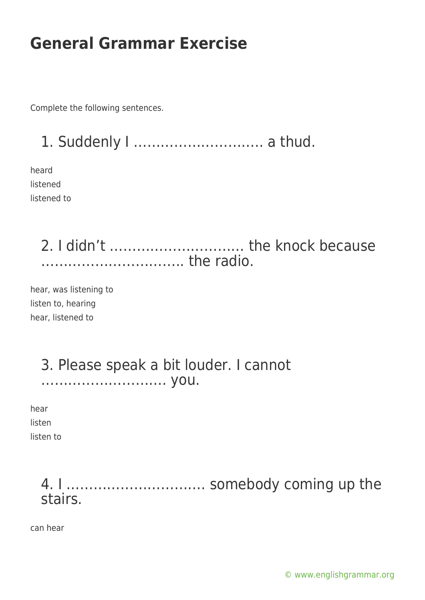Complete the following sentences.

1. Suddenly I ……………………….. a thud.

heard listened listened to

> 2. I didn't ………………………… the knock because ………………………….. the radio.

hear, was listening to listen to, hearing hear, listened to

### 3. Please speak a bit louder. I cannot ………………………. you.

hear listen

listen to

## 4. I …………………………. somebody coming up the stairs.

can hear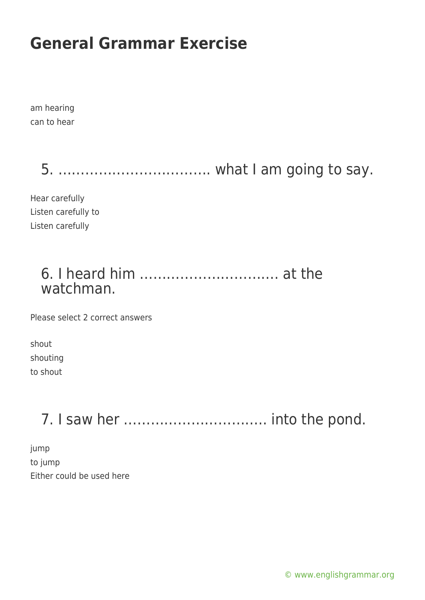am hearing can to hear

5. ……………………………. what I am going to say.

Hear carefully Listen carefully to Listen carefully

## 6. I heard him …………………………. at the watchman.

Please select 2 correct answers

shout shouting to shout

7. I saw her ………………………….. into the pond.

jump to jump Either could be used here

[© www.englishgrammar.org](https://www.englishgrammar.org/)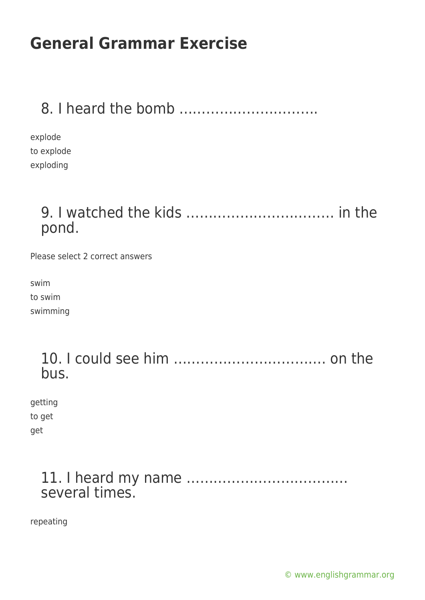## 8. I heard the bomb ………………………….

explode to explode exploding

## 9. I watched the kids …………………………… in the pond.

Please select 2 correct answers

swim to swim swimming

> 10. I could see him ……………………………. on the bus.

getting to get get

### 11. I heard my name ……………………………… several times.

repeating